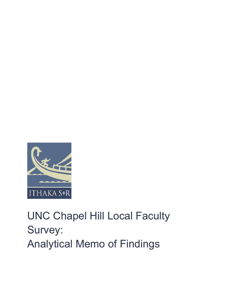

# UNC Chapel Hill Local Faculty Survey: Analytical Memo of Findings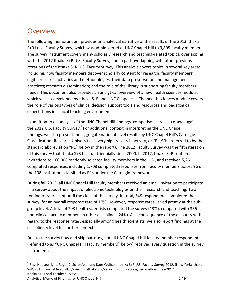#### **Overview**

The following memorandum provides an analytical narrative of the results of the 2013 Ithaka S+R Local Faculty Survey, which was administered at UNC Chapel Hill to 3,805 faculty members. The survey instrument covers many scholarly research and teaching-related topics, overlapping with the 2012 Ithaka S+R U.S. Faculty Survey, and in part overlapping with other previous iterations of the Ithaka S+R U.S. Faculty Survey. This analysis covers topics in several key areas, including: how faculty members discover scholarly content for research; faculty members' digital research activities and methodologies; their data preservation and management practices; research dissemination; and the role of the library in supporting faculty members' needs. This document also provides an analytical overview of a new health sciences module, which was co-developed by Ithaka S+R and UNC Chapel Hill. The health sciences module covers the role of various types of clinical decision support tools and resources and pedagogical expectations in clinical teaching environments.

In addition to an analysis of the UNC Chapel Hill findings, comparisons are also drawn against the 2012 U.S. Faculty Survey.<sup>1</sup> For additional context in interpreting the UNC Chapel Hill findings, we also present the aggregate national-level results by UNC Chapel Hill's Carnegie Classification (Research Universities – very high research activity, or "RU/VH" referred to by the standard abbreviation "R1" below in the report). The 2012 Faculty Survey was the fifth iteration of this survey that Ithaka S+R has run triennially since 2000. In 2012, Ithaka S+R sent email invitations to 160,008 randomly selected faculty members in the U.S., and received 5,261 completed responses, including 1,708 completed responses from faculty members across 96 of the 108 institutions classified as R1s under the Carnegie framework.

During fall 2013, all UNC Chapel Hill faculty members received an email invitation to participate in a survey about the impact of electronic technologies on their research and teaching. Two reminders were sent until the close of the survey. In total, 649 respondents completed the survey, for an overall response rate of 17%. However, response rates varied greatly at the subgroup level. A total of 293 health scientists completed the survey (13%), compared with 356 non-clinical faculty members in other disciplines (24%). As a consequence of the disparity with regard to the response rates, especially among health scientists, we also report findings at the disciplinary level for further context.

Due to the survey flow and skip patterns, not all UNC Chapel Hill faculty member respondents (referred to as "UNC Chapel Hill faculty members" below) received every question in the survey instrument.

Ithaka S+R Local Faculty Survey: <sup>1</sup> Ross Housewright, Roger C. Schonfeld, and Kate Wulfson, Ithaka S+R U.S. Faculty Survey 2012, (New York: Ithaka S+R, 2013), available at http://www.sr.ithaka.org/research-publications/us-faculty-survey-2012

Analytical Memo of Findings for UNC Chapel Hill 2 / 9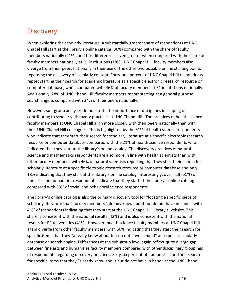### **Discovery**

When exploring the scholarly literature, a substantially greater share of respondents at UNC Chapel Hill start at the library's online catalog (30%) compared with the share of faculty members nationally (21%), and this difference is even greater when compared with the share of faculty members nationally at R1 institutions (18%). UNC Chapel Hill faculty members also diverge from their peers nationally in their use of the other two possible online starting points regarding the discovery of scholarly content. Forty-one percent of UNC Chapel Hill respondents report starting their search for academic literature at a specific electronic research resource or computer database, when compared with 46% of faculty members at R1 institutions nationally. Additionally, 28% of UNC Chapel Hill faculty members report starting at a general purpose search engine, compared with 34% of their peers nationally.

However, sub-group analyses demonstrate the importance of disciplines in shaping or contributing to scholarly discovery practices at UNC Chapel Hill. The practices of health science faculty members at UNC Chapel Hill align more closely with their peers nationally than with their UNC Chapel Hill colleagues. This is highlighted by the 51% of health science respondents who indicate that they start their search for scholarly literature at a specific electronic research resource or computer database compared with the 21% of health science respondents who indicated that they start at the library's online catalog. The discovery practices of natural science and mathematics respondents are also more in line with health scientists than with other faculty members, with 46% of natural scientists reporting that they start their search for scholarly literature at a specific electronic research resource or computer database and only 18% indicating that they start at the library's online catalog. Interestingly, over half (51%) of fine arts and humanities respondents indicate that they start at the library's online catalog compared with 38% of social and behavioral science respondents.

The library's online catalog is also the primary discovery tool for "locating a specific piece of scholarly literature that" faculty members "already know about but do not have in hand," with 41% of respondents indicating that they start at the UNC Chapel Hill library's website. This share is consistent with the national results (42%) and is also consistent with the national results for R1 universities (41%). However, health science faculty members at UNC Chapel Hill again diverge from other faculty members, with 50% indicating that they start their search for specific items that they "already know about but do not have in hand" at a specific scholarly database or search engine. Differences at the sub-group level again reflect quite a large gap between fine arts and humanities faculty members compared with other disciplinary groupings of respondents regarding discovery practices. Sixty-six percent of humanists start their search for specific items that they "already know about but do not have in hand" at the UNC Chapel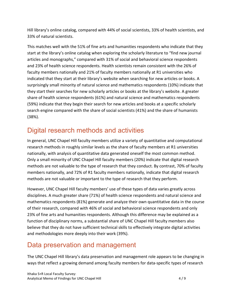Hill library's online catalog, compared with 44% of social scientists, 33% of health scientists, and 33% of natural scientists.

This matches well with the 51% of fine arts and humanities respondents who indicate that they start at the library's online catalog when exploring the scholarly literature to "find new journal articles and monographs," compared with 31% of social and behavioral science respondents and 23% of health science respondents. Health scientists remain consistent with the 26% of faculty members nationally and 21% of faculty members nationally at R1 universities who indicated that they start at their library's website when searching for new articles or books. A surprisingly small minority of natural science and mathematics respondents (10%) indicate that they start their searches for new scholarly articles or books at the library's website. A greater share of health science respondents (61%) and natural science and mathematics respondents (59%) indicate that they begin their search for new articles and books at a specific scholarly search engine compared with the share of social scientists (41%) and the share of humanists (38%).

# Digital research methods and activities

In general, UNC Chapel Hill faculty members utilize a variety of quantitative and computational research methods in roughly similar levels as the share of faculty members at R1 universities nationally, with analysis of quantitative data generated oneself the most common method. Only a small minority of UNC Chapel Hill faculty members (20%) indicate that digital research methods are not valuable to the type of research that they conduct. By contrast, 70% of faculty members nationally, and 72% of R1 faculty members nationally, indicate that digital research methods are not valuable or important to the type of research that they perform.

However, UNC Chapel Hill faculty members' use of these types of data varies greatly across disciplines. A much greater share (71%) of health science respondents and natural science and mathematics respondents (81%) generate and analyze their own quantitative data in the course of their research, compared with 46% of social and behavioral science respondents and only 23% of fine arts and humanities respondents. Although this difference may be explained as a function of disciplinary norms, a substantial share of UNC Chapel Hill faculty members also believe that they do not have sufficient technical skills to effectively integrate digital activities and methodologies more deeply into their work (39%).

# Data preservation and management

The UNC Chapel Hill library's data preservation and management role appears to be changing in ways that reflect a growing demand among faculty members for data-specific types of research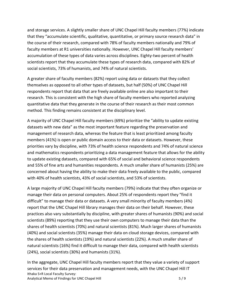and storage services. A slightly smaller share of UNC Chapel Hill faculty members (77%) indicate that they "accumulate scientific, qualitative, quantitative, or primary source research data" in the course of their research, compared with 78% of faculty members nationally and 79% of faculty members at R1 universities nationally. However, UNC Chapel Hill faculty members' accumulation of these types of data varies across disciplines. Eighty-two percent of health scientists report that they accumulate these types of research data, compared with 82% of social scientists, 73% of humanists, and 74% of natural scientists.

A greater share of faculty members (82%) report using data or datasets that they collect themselves as opposed to all other types of datasets, but half (50%) of UNC Chapel Hill respondents report that data that are freely available online are also important to their research. This is consistent with the high share of faculty members who reported analyzing quantitative data that they generate in the course of their research as their most common method. This finding remains consistent at the disciplinary level.

A majority of UNC Chapel Hill faculty members (69%) prioritize the "ability to update existing datasets with new data" as the most important feature regarding the preservation and management of research data, whereas the feature that is least prioritized among faculty members (41%) is open or public domain access to their data or datasets. However, these priorities vary by discipline, with 73% of health science respondents and 74% of natural science and mathematics respondents prioritizing a data management feature that allows for the ability to update existing datasets, compared with 65% of social and behavioral science respondents and 55% of fine arts and humanities respondents. A much smaller share of humanists (25%) are concerned about having the ability to make their data freely available to the public, compared with 40% of health scientists, 43% of social scientists, and 53% of scientists.

A large majority of UNC Chapel Hill faculty members (79%) indicate that they often organize or manage their data on personal computers. About 25% of respondents report they "find it difficult" to manage their data or datasets. A very small minority of faculty members (4%) report that the UNC Chapel Hill library manages their data on their behalf. However, these practices also vary substantially by discipline, with greater shares of humanists (90%) and social scientists (89%) reporting that they use their own computers to manage their data than the shares of health scientists (70%) and natural scientists (81%). Much larger shares of humanists (40%) and social scientists (35%) manage their data on cloud storage devices, compared with the shares of health scientists (19%) and natural scientists (22%). A much smaller share of natural scientists (16%) find it difficult to manage their data, compared with health scientists (24%), social scientists (30%) and humanists (31%).

Ithaka S+R Local Faculty Survey: Analytical Memo of Findings for UNC Chapel Hill 5 / 9 In the aggregate, UNC Chapel Hill faculty members report that they value a variety of support services for their data preservation and management needs, with the UNC Chapel Hill IT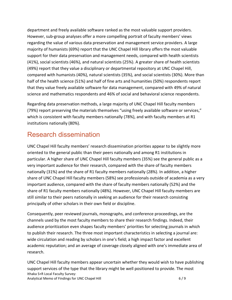department and freely available software ranked as the most valuable support providers. However, sub-group analyses offer a more compelling portrait of faculty members' views regarding the value of various data preservation and management service providers. A large majority of humanists (69%) report that the UNC Chapel Hill library offers the most valuable support for their data preservation and management needs, compared with health scientists (41%), social scientists (46%), and natural scientists (25%). A greater share of health scientists (49%) report that they value a disciplinary or departmental repository at UNC Chapel Hill, compared with humanists (40%), natural scientists (35%), and social scientists (30%). More than half of the health science (51%) and half of fine arts and humanities (50%) respondents report that they value freely available software for data management, compared with 49% of natural science and mathematics respondents and 46% of social and behavioral science respondents.

Regarding data preservation methods, a large majority of UNC Chapel Hill faculty members (79%) report preserving the materials themselves "using freely available software or services," which is consistent with faculty members nationally (78%), and with faculty members at R1 institutions nationally (80%).

## Research dissemination

UNC Chapel Hill faculty members' research dissemination priorities appear to be slightly more oriented to the general public than their peers nationally and among R1 institutions in particular. A higher share of UNC Chapel Hill faculty members (35%) see the general public as a very important audience for their research, compared with the share of faculty members nationally (31%) and the share of R1 faculty members nationally (28%). In addition, a higher share of UNC Chapel Hill faculty members (58%) see professionals outside of academia as a very important audience, compared with the share of faculty members nationally (52%) and the share of R1 faculty members nationally (48%). However, UNC Chapel Hill faculty members are still similar to their peers nationally in seeking an audience for their research consisting principally of other scholars in their own field or discipline.

Consequently, peer reviewed journals, monographs, and conference proceedings, are the channels used by the most faculty members to share their research findings. Indeed, their audience prioritization even shapes faculty members' priorities for selecting journals in which to publish their research. The three most important characteristics in selecting a journal are: wide circulation and reading by scholars in one's field; a high impact factor and excellent academic reputation; and an average of coverage closely aligned with one's immediate area of research.

Ithaka S+R Local Faculty Survey: Analytical Memo of Findings for UNC Chapel Hill 6 / 9 UNC Chapel Hill faculty members appear uncertain whether they would wish to have publishing support services of the type that the library might be well positioned to provide. The most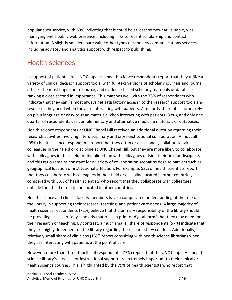popular such service, with 63% indicating that it could be at least somewhat valuable, was managing one's public web presence, including links to recent scholarship and contact information. A slightly smaller share value other types of scholarly communications services, including advisory and analytics support with respect to publishing.

### Health sciences

In support of patient care, UNC Chapel Hill health science respondents report that they utilize a variety of clinical decision support tools, with full-text versions of scholarly journals and journal articles the most important resource, and evidence-based scholarly materials or databases ranking a close second in importance. This matches well with the 78% of respondents who indicate that they can "almost always get satisfactory access" to the research support tools and resources they need when they are interacting with patients. A minority share of clinicians rely on plain language or easy-to-read materials when interacting with patients (33%), and only onequarter of respondents use complementary and alternative medicine materials or databases.

Health science respondents at UNC Chapel Hill received an additional question regarding their research activities involving interdisciplinary and cross-institutional collaboration. Almost all (95%) health science respondents report that they often or occasionally collaborate with colleagues in their field or discipline at UNC Chapel Hill, but they are more likely to collaborate with colleagues in their field or discipline than with colleagues outside their field or discipline, and this ratio remains constant for a variety of collaboration scenarios despite barriers such as geographical location or institutional affiliation. For example, 53% of health scientists report that they collaborate with colleagues in their field or discipline located in other countries, compared with 33% of health scientists who report that they collaborate with colleagues outside their field or discipline located in other countries.

Health science and clinical faculty members have a complicated understanding of the role of the library in supporting their research, teaching, and patient care needs. A large majority of health science respondents (72%) believe that the primary responsibility of the library should be providing access to "any scholarly materials in print or digital form" that they may need for their research or teaching. By contrast, a much smaller share of respondents (57%) indicate that they are highly dependent on the library regarding the research they conduct. Additionally, a relatively small share of clinicians (15%) report consulting with health science librarians when they are interacting with patients at the point of care.

However, more than three-fourths of respondents (77%) report that the UNC Chapel Hill health science library's services for instructional support are extremely important to their clinical or health science courses. This is highlighted by the 79% of health scientists who report that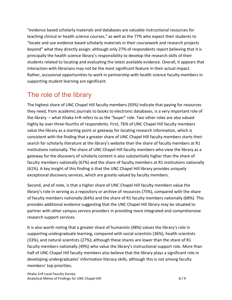"evidence based scholarly materials and databases are valuable instructional resources for teaching clinical or health science courses," as well as the 77% who expect their students to "locate and use evidence based scholarly materials in their coursework and research projects beyond" what they directly assign; although only 27% of respondents report believing that it is principally the health science library's responsibility to develop the research skills of their students related to locating and evaluating the latest available evidence. Overall, it appears that interaction with librarians may not be the most significant feature in their actual impact. Rather, occasional opportunities to work in partnership with health science faculty members in supporting student learning are significant.

## The role of the library

The highest share of UNC Chapel Hill faculty members (93%) indicate that paying for resources they need, from academic journals to books to electronic databases, is a very important role of the library – what Ithaka S+R refers to as the "buyer" role. Two other roles are also valued highly by over three-fourths of respondents. First, 76% of UNC Chapel Hill faculty members value the library as a starting point or gateway for locating research information, which is consistent with the finding that a greater share of UNC Chapel Hill faculty members starts their search for scholarly literature at the library's website than the share of faculty members at R1 institutions nationally. The share of UNC Chapel Hill faculty members who view the library as a gateway for the discovery of scholarly content is also substantially higher than the share of faculty members nationally (67%) and the share of faculty members at R1 institutions nationally (61%). A key insight of this finding is that the UNC Chapel Hill library provides uniquely exceptional discovery services, which are greatly valued by faculty members.

Second, and of note, is that a higher share of UNC Chapel Hill faculty members value the library's role in serving as a repository or archive of resources (75%), compared with the share of faculty members nationally (64%) and the share of R1 faculty members nationally (68%). This provides additional evidence suggesting that the UNC Chapel Hill library may be situated to partner with other campus service providers in providing more integrated and comprehensive research support services.

It is also worth noting that a greater share of humanists (48%) values the library's role in supporting undergraduate learning, compared with social scientists (36%), health scientists (33%), and natural scientists (27%); although these shares are lower than the share of R1 faculty members nationally (49%) who value the library's instructional support role. More than half of UNC Chapel Hill faculty members also believe that the library plays a significant role in developing undergraduates' information literacy skills, although this is not among faculty members' top priorities.